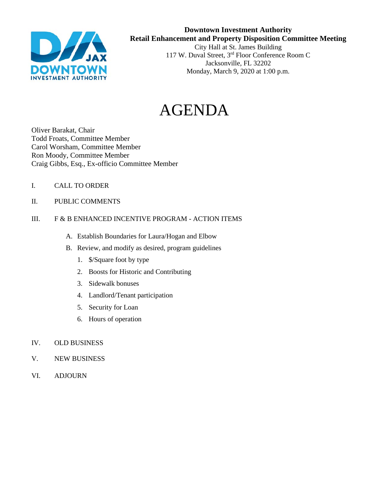

## **Downtown Investment Authority Retail Enhancement and Property Disposition Committee Meeting**  City Hall at St. James Building

117 W. Duval Street, 3rd Floor Conference Room C Jacksonville, FL 32202 Monday, March 9, 2020 at 1:00 p.m.

# AGENDA

Oliver Barakat, Chair Todd Froats, Committee Member Carol Worsham, Committee Member Ron Moody, Committee Member Craig Gibbs, Esq., Ex-officio Committee Member

- I. CALL TO ORDER
- II. PUBLIC COMMENTS

### III. F & B ENHANCED INCENTIVE PROGRAM - ACTION ITEMS

- A. Establish Boundaries for Laura/Hogan and Elbow
- B. Review, and modify as desired, program guidelines
	- 1. \$/Square foot by type
	- 2. Boosts for Historic and Contributing
	- 3. Sidewalk bonuses
	- 4. Landlord/Tenant participation
	- 5. Security for Loan
	- 6. Hours of operation
- IV. OLD BUSINESS
- V. NEW BUSINESS
- VI. ADJOURN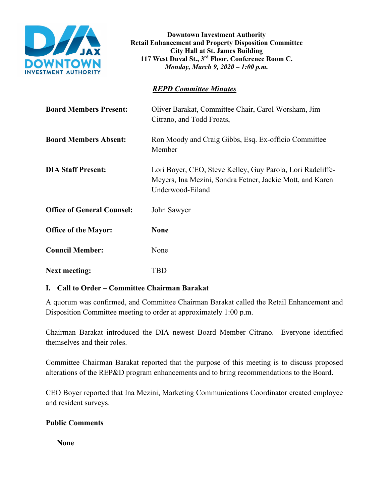

**Downtown Investment Authority Retail Enhancement and Property Disposition Committee City Hall at St. James Building 117 West Duval St., 3rd Floor, Conference Room C.**  *Monday, March 9, 2020 – 1:00 p.m.* 

## *REPD Committee Minutes*

| <b>Board Members Present:</b>     | Oliver Barakat, Committee Chair, Carol Worsham, Jim<br>Citrano, and Todd Froats,                                                            |
|-----------------------------------|---------------------------------------------------------------------------------------------------------------------------------------------|
| <b>Board Members Absent:</b>      | Ron Moody and Craig Gibbs, Esq. Ex-officio Committee<br>Member                                                                              |
| <b>DIA Staff Present:</b>         | Lori Boyer, CEO, Steve Kelley, Guy Parola, Lori Radcliffe-<br>Meyers, Ina Mezini, Sondra Fetner, Jackie Mott, and Karen<br>Underwood-Eiland |
| <b>Office of General Counsel:</b> | John Sawyer                                                                                                                                 |
| <b>Office of the Mayor:</b>       | <b>None</b>                                                                                                                                 |
| <b>Council Member:</b>            | None                                                                                                                                        |
| <b>Next meeting:</b>              | TBD                                                                                                                                         |

## **I. Call to Order – Committee Chairman Barakat**

A quorum was confirmed, and Committee Chairman Barakat called the Retail Enhancement and Disposition Committee meeting to order at approximately 1:00 p.m.

Chairman Barakat introduced the DIA newest Board Member Citrano. Everyone identified themselves and their roles.

Committee Chairman Barakat reported that the purpose of this meeting is to discuss proposed alterations of the REP&D program enhancements and to bring recommendations to the Board.

CEO Boyer reported that Ina Mezini, Marketing Communications Coordinator created employee and resident surveys.

## **Public Comments**

 **None**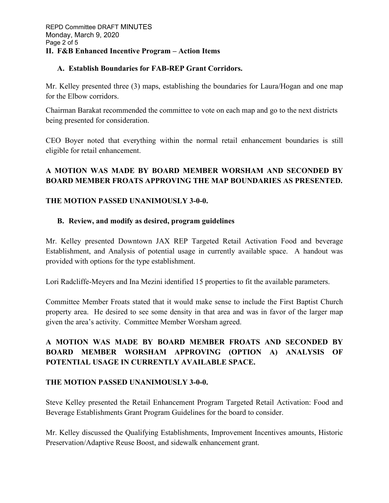## **A. Establish Boundaries for FAB-REP Grant Corridors.**

Mr. Kelley presented three (3) maps, establishing the boundaries for Laura/Hogan and one map for the Elbow corridors.

Chairman Barakat recommended the committee to vote on each map and go to the next districts being presented for consideration.

CEO Boyer noted that everything within the normal retail enhancement boundaries is still eligible for retail enhancement.

## **A MOTION WAS MADE BY BOARD MEMBER WORSHAM AND SECONDED BY BOARD MEMBER FROATS APPROVING THE MAP BOUNDARIES AS PRESENTED.**

## **THE MOTION PASSED UNANIMOUSLY 3-0-0.**

## **B. Review, and modify as desired, program guidelines**

Mr. Kelley presented Downtown JAX REP Targeted Retail Activation Food and beverage Establishment, and Analysis of potential usage in currently available space. A handout was provided with options for the type establishment.

Lori Radcliffe-Meyers and Ina Mezini identified 15 properties to fit the available parameters.

Committee Member Froats stated that it would make sense to include the First Baptist Church property area. He desired to see some density in that area and was in favor of the larger map given the area's activity. Committee Member Worsham agreed.

# **A MOTION WAS MADE BY BOARD MEMBER FROATS AND SECONDED BY BOARD MEMBER WORSHAM APPROVING (OPTION A) ANALYSIS OF POTENTIAL USAGE IN CURRENTLY AVAILABLE SPACE.**

## **THE MOTION PASSED UNANIMOUSLY 3-0-0.**

Steve Kelley presented the Retail Enhancement Program Targeted Retail Activation: Food and Beverage Establishments Grant Program Guidelines for the board to consider.

Mr. Kelley discussed the Qualifying Establishments, Improvement Incentives amounts, Historic Preservation/Adaptive Reuse Boost, and sidewalk enhancement grant.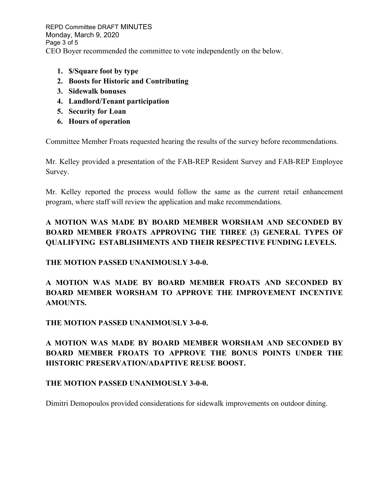REPD Committee DRAFT MINUTES Monday, March 9, 2020 Page 3 of 5 CEO Boyer recommended the committee to vote independently on the below.

- **1. \$/Square foot by type**
- **2. Boosts for Historic and Contributing**
- **3. Sidewalk bonuses**
- **4. Landlord/Tenant participation**
- **5. Security for Loan**
- **6. Hours of operation**

Committee Member Froats requested hearing the results of the survey before recommendations.

Mr. Kelley provided a presentation of the FAB-REP Resident Survey and FAB-REP Employee Survey.

Mr. Kelley reported the process would follow the same as the current retail enhancement program, where staff will review the application and make recommendations.

# **A MOTION WAS MADE BY BOARD MEMBER WORSHAM AND SECONDED BY BOARD MEMBER FROATS APPROVING THE THREE (3) GENERAL TYPES OF QUALIFYING ESTABLISHMENTS AND THEIR RESPECTIVE FUNDING LEVELS.**

**THE MOTION PASSED UNANIMOUSLY 3-0-0.** 

**A MOTION WAS MADE BY BOARD MEMBER FROATS AND SECONDED BY BOARD MEMBER WORSHAM TO APPROVE THE IMPROVEMENT INCENTIVE AMOUNTS.**

**THE MOTION PASSED UNANIMOUSLY 3-0-0.** 

**A MOTION WAS MADE BY BOARD MEMBER WORSHAM AND SECONDED BY BOARD MEMBER FROATS TO APPROVE THE BONUS POINTS UNDER THE HISTORIC PRESERVATION/ADAPTIVE REUSE BOOST.** 

## **THE MOTION PASSED UNANIMOUSLY 3-0-0.**

Dimitri Demopoulos provided considerations for sidewalk improvements on outdoor dining.